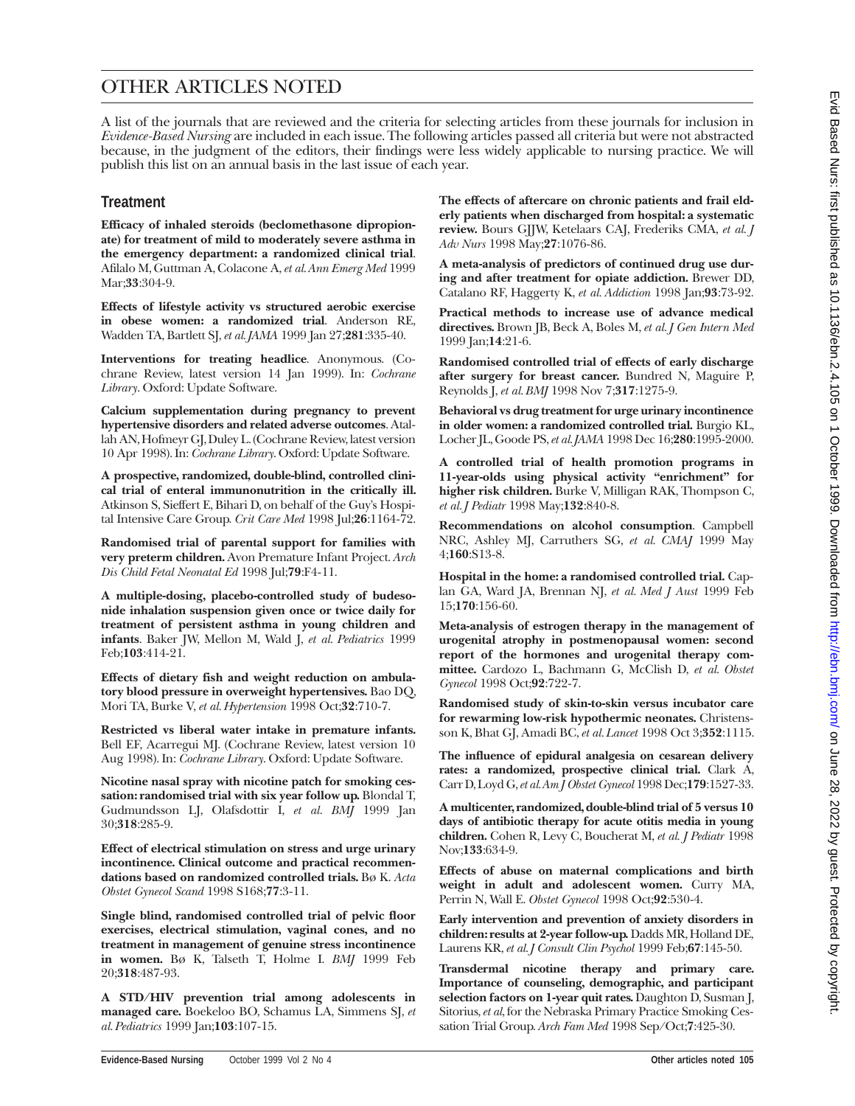# OTHER ARTICLES NOTED

A list of the journals that are reviewed and the criteria for selecting articles from these journals for inclusion in *Evidence-Based Nursing* are included in each issue. The following articles passed all criteria but were not abstracted because, in the judgment of the editors, their findings were less widely applicable to nursing practice. We will publish this list on an annual basis in the last issue of each year.

## **Treatment**

**Efficacy of inhaled steroids (beclomethasone dipropionate) for treatment of mild to moderately severe asthma in the emergency department: a randomized clinical trial**. Afilalo M, Guttman A, Colacone A, *et al. Ann Emerg Med* 1999 Mar;**33**:304-9.

**Effects of lifestyle activity vs structured aerobic exercise in obese women: a randomized trial**. Anderson RE, Wadden TA, Bartlett SJ, *et al. JAMA* 1999 Jan 27;**281**:335-40.

**Interventions for treating headlice**. Anonymous. (Cochrane Review, latest version 14 Jan 1999). In: *Cochrane Library*. Oxford: Update Software.

**Calcium supplementation during pregnancy to prevent hypertensive disorders and related adverse outcomes**. Atallah AN, Hofmeyr GJ, Duley L. (Cochrane Review, latest version 10 Apr 1998). In: *Cochrane Library*. Oxford: Update Software.

**A prospective, randomized, double-blind, controlled clinical trial of enteral immunonutrition in the critically ill.** Atkinson S, Sieffert E, Bihari D, on behalf of the Guy's Hospital Intensive Care Group. *Crit Care Med* 1998 Jul;**26**:1164-72.

**Randomised trial of parental support for families with very preterm children.** Avon Premature Infant Project. *Arch Dis Child Fetal Neonatal Ed* 1998 Jul;**79**:F4-11.

**A multiple-dosing, placebo-controlled study of budesonide inhalation suspension given once or twice daily for treatment of persistent asthma in young children and infants**. Baker JW, Mellon M, Wald J, *et al. Pediatrics* 1999 Feb;**103**:414-21.

**Effects of dietary fish and weight reduction on ambulatory blood pressure in overweight hypertensives.** Bao DQ, Mori TA, Burke V, *et al. Hypertension* 1998 Oct;**32**:710-7.

**Restricted vs liberal water intake in premature infants.** Bell EF, Acarregui MJ. (Cochrane Review, latest version 10 Aug 1998). In: *Cochrane Library*. Oxford: Update Software.

**Nicotine nasal spray with nicotine patch for smoking cessation: randomised trial with six year follow up.** Blondal T, Gudmundsson LJ, Olafsdottir I, *et al*. *BMJ* 1999 Jan 30;**318**:285-9.

**Effect of electrical stimulation on stress and urge urinary incontinence. Clinical outcome and practical recommendations based on randomized controlled trials.** Bø K. *Acta Obstet Gynecol Scand* 1998 S168;**77**:3-11.

**Single blind, randomised controlled trial of pelvic floor exercises, electrical stimulation, vaginal cones, and no treatment in management of genuine stress incontinence in women.** Bø K, Talseth T, Holme I. *BMJ* 1999 Feb 20;**318**:487-93.

**A STD/HIV prevention trial among adolescents in managed care.** Boekeloo BO, Schamus LA, Simmens SJ, *et al. Pediatrics* 1999 Jan;**103**:107-15.

**The effects of aftercare on chronic patients and frail elderly patients when discharged from hospital: a systematic review.** Bours GJJW, Ketelaars CAJ, Frederiks CMA, *et al. J Adv Nurs* 1998 May;**27**:1076-86.

**A meta-analysis of predictors of continued drug use during and after treatment for opiate addiction.** Brewer DD, Catalano RF, Haggerty K, *et al. Addiction* 1998 Jan;**93**:73-92.

**Practical methods to increase use of advance medical directives.** Brown JB, Beck A, Boles M, *et al. J Gen Intern Med* 1999 Jan;**14**:21-6.

**Randomised controlled trial of effects of early discharge after surgery for breast cancer.** Bundred N, Maguire P, Reynolds J, *et al. BMJ* 1998 Nov 7;**317**:1275-9.

**Behavioral vs drug treatment for urge urinary incontinence in older women: a randomized controlled trial.** Burgio KL, Locher JL, Goode PS,*et al. JAMA* 1998 Dec 16;**280**:1995-2000.

**A controlled trial of health promotion programs in 11-year-olds using physical activity "enrichment" for higher risk children.** Burke V, Milligan RAK, Thompson C, *et al. J Pediatr* 1998 May;**132**:840-8.

**Recommendations on alcohol consumption**. Campbell NRC, Ashley MJ, Carruthers SG, *et al. CMAJ* 1999 May 4;**160**:S13-8.

**Hospital in the home: a randomised controlled trial.** Caplan GA, Ward JA, Brennan NJ, *et al. Med J Aust* 1999 Feb 15;**170**:156-60.

**Meta-analysis of estrogen therapy in the management of urogenital atrophy in postmenopausal women: second report of the hormones and urogenital therapy committee.** Cardozo L, Bachmann G, McClish D, *et al. Obstet Gynecol* 1998 Oct;**92**:722-7.

**Randomised study of skin-to-skin versus incubator care for rewarming low-risk hypothermic neonates.** Christensson K, Bhat GJ, Amadi BC, *et al. Lancet* 1998 Oct 3;**352**:1115.

**The influence of epidural analgesia on cesarean delivery rates: a randomized, prospective clinical trial.** Clark A, Carr D, Loyd G,*et al.Am J Obstet Gynecol* 1998 Dec;**179**:1527-33.

**A multicenter, randomized, double-blind trial of 5 versus 10 days of antibiotic therapy for acute otitis media in young children.** Cohen R, Levy C, Boucherat M, *et al. J Pediatr* 1998 Nov;**133**:634-9.

**Effects of abuse on maternal complications and birth weight in adult and adolescent women.** Curry MA, Perrin N, Wall E. *Obstet Gynecol* 1998 Oct;**92**:530-4.

**Early intervention and prevention of anxiety disorders in children: results at 2-year follow-up.** Dadds MR, Holland DE, Laurens KR, *et al. J Consult Clin Psychol* 1999 Feb;**67**:145-50.

**Transdermal nicotine therapy and primary care. Importance of counseling, demographic, and participant selection factors on 1-year quit rates.** Daughton D, Susman J, Sitorius,*et al*, for the Nebraska Primary Practice Smoking Cessation Trial Group. *Arch Fam Med* 1998 Sep/Oct;**7**:425-30.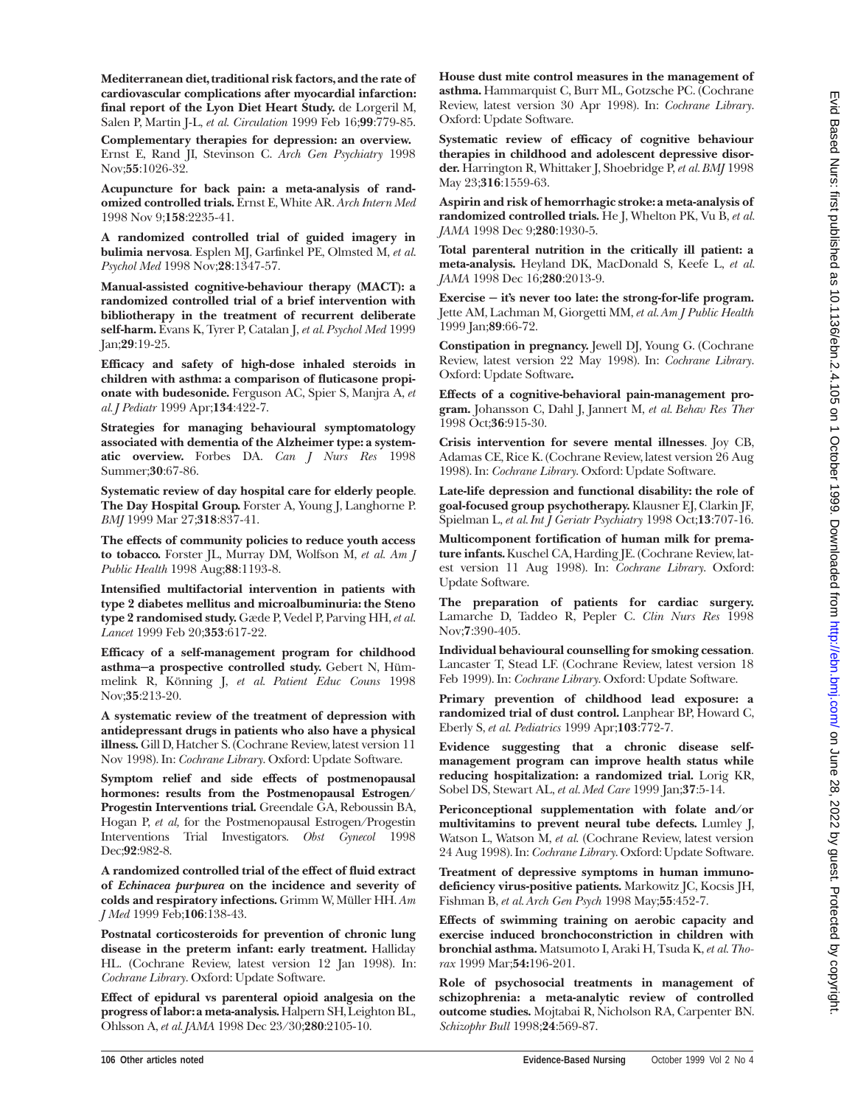**Mediterranean diet, traditional risk factors, and the rate of cardiovascular complications after myocardial infarction: final report of the Lyon Diet Heart Study.** de Lorgeril M, Salen P, Martin J-L, *et al. Circulation* 1999 Feb 16;**99**:779-85.

**Complementary therapies for depression: an overview.** Ernst E, Rand JI, Stevinson C. *Arch Gen Psychiatry* 1998 Nov;**55**:1026-32.

**Acupuncture for back pain: a meta-analysis of randomized controlled trials.** Ernst E, White AR. *Arch Intern Med* 1998 Nov 9;**158**:2235-41.

**A randomized controlled trial of guided imagery in bulimia nervosa**. Esplen MJ, Garfinkel PE, Olmsted M, *et al*. *Psychol Med* 1998 Nov;**28**:1347-57.

**Manual-assisted cognitive-behaviour therapy (MACT): a randomized controlled trial of a brief intervention with bibliotherapy in the treatment of recurrent deliberate self-harm.** Evans K, Tyrer P, Catalan J, *et al. Psychol Med* 1999 Jan;**29**:19-25.

**Efficacy and safety of high-dose inhaled steroids in children with asthma: a comparison of fluticasone propionate with budesonide.** Ferguson AC, Spier S, Manjra A, *et al. J Pediatr* 1999 Apr;**134**:422-7.

**Strategies for managing behavioural symptomatology associated with dementia of the Alzheimer type: a systematic overview.** Forbes DA. *Can J Nurs Res* 1998 Summer;**30**:67-86.

**Systematic review of day hospital care for elderly people**. **The Day Hospital Group.** Forster A, Young J, Langhorne P. *BMJ* 1999 Mar 27;**318**:837-41.

**The effects of community policies to reduce youth access to tobacco.** Forster JL, Murray DM, Wolfson M, *et al. Am J Public Health* 1998 Aug;**88**:1193-8.

**Intensified multifactorial intervention in patients with type 2 diabetes mellitus and microalbuminuria: the Steno type 2 randomised study.** Gæde P, Vedel P, Parving HH,*et al*. *Lancet* 1999 Feb 20;**353**:617-22.

**Efficacy of a self-management program for childhood asthma—a prospective controlled study.** Gebert N, Hümmelink R, Könning J, *et al. Patient Educ Couns* 1998 Nov;**35**:213-20.

**A systematic review of the treatment of depression with antidepressant drugs in patients who also have a physical illness.** Gill D, Hatcher S. (Cochrane Review, latest version 11 Nov 1998). In: *Cochrane Library*. Oxford: Update Software.

**Symptom relief and side effects of postmenopausal hormones: results from the Postmenopausal Estrogen/ Progestin Interventions trial.** Greendale GA, Reboussin BA, Hogan P, *et al,* for the Postmenopausal Estrogen/Progestin Interventions Trial Investigators. *Obst Gynecol* 1998 Dec;**92**:982-8.

**A randomized controlled trial of the effect of fluid extract of** *Echinacea purpurea* **on the incidence and severity of colds and respiratory infections.** Grimm W, Müller HH. *Am J Med* 1999 Feb;**106**:138-43.

**Postnatal corticosteroids for prevention of chronic lung disease in the preterm infant: early treatment.** Halliday HL. (Cochrane Review, latest version 12 Jan 1998). In: *Cochrane Library*. Oxford: Update Software.

**Effect of epidural vs parenteral opioid analgesia on the progress of labor: a meta-analysis.** Halpern SH, Leighton BL, Ohlsson A, *et al. JAMA* 1998 Dec 23/30;**280**:2105-10.

**House dust mite control measures in the management of asthma.** Hammarquist C, Burr ML, Gotzsche PC. (Cochrane Review, latest version 30 Apr 1998). In: *Cochrane Library*. Oxford: Update Software.

**Systematic review of efficacy of cognitive behaviour therapies in childhood and adolescent depressive disorder.** Harrington R, Whittaker J, Shoebridge P, *et al. BMJ* 1998 May 23;**316**:1559-63.

**Aspirin and risk of hemorrhagic stroke: a meta-analysis of randomized controlled trials.** He J, Whelton PK, Vu B, *et al. JAMA* 1998 Dec 9;**280**:1930-5.

**Total parenteral nutrition in the critically ill patient: a meta-analysis.** Heyland DK, MacDonald S, Keefe L, *et al. JAMA* 1998 Dec 16;**280**:2013-9.

**Exercise — it's never too late: the strong-for-life program.** Jette AM, Lachman M, Giorgetti MM, *et al. Am J Public Health* 1999 Jan;**89**:66-72.

**Constipation in pregnancy.** Jewell DJ, Young G. (Cochrane Review, latest version 22 May 1998). In: *Cochrane Library*. Oxford: Update Software**.**

**Effects of a cognitive-behavioral pain-management program.** Johansson C, Dahl J, Jannert M, *et al. Behav Res Ther* 1998 Oct;**36**:915-30.

**Crisis intervention for severe mental illnesses**. Joy CB, Adamas CE, Rice K. (Cochrane Review, latest version 26 Aug 1998). In: *Cochrane Library*. Oxford: Update Software.

**Late-life depression and functional disability: the role of goal-focused group psychotherapy.** Klausner EJ, Clarkin JF, Spielman L, *et al. Int J Geriatr Psychiatry* 1998 Oct;**13**:707-16.

**Multicomponent fortification of human milk for premature infants.** Kuschel CA, Harding JE. (Cochrane Review, latest version 11 Aug 1998). In: *Cochrane Library*. Oxford: Update Software.

**The preparation of patients for cardiac surgery.** Lamarche D, Taddeo R, Pepler C. *Clin Nurs Res* 1998 Nov;**7**:390-405.

**Individual behavioural counselling for smoking cessation**. Lancaster T, Stead LF. (Cochrane Review, latest version 18 Feb 1999). In: *Cochrane Library*. Oxford: Update Software.

**Primary prevention of childhood lead exposure: a randomized trial of dust control.** Lanphear BP, Howard C, Eberly S, *et al*. *Pediatrics* 1999 Apr;**103**:772-7.

**Evidence suggesting that a chronic disease selfmanagement program can improve health status while reducing hospitalization: a randomized trial.** Lorig KR, Sobel DS, Stewart AL, *et al. Med Care* 1999 Jan;**37**:5-14.

**Periconceptional supplementation with folate and/or multivitamins to prevent neural tube defects.** Lumley J, Watson L, Watson M, *et al.* (Cochrane Review, latest version 24 Aug 1998). In: *Cochrane Library*. Oxford: Update Software.

**Treatment of depressive symptoms in human immunodeficiency virus-positive patients.** Markowitz JC, Kocsis JH, Fishman B, *et al. Arch Gen Psych* 1998 May;**55**:452-7.

**Effects of swimming training on aerobic capacity and exercise induced bronchoconstriction in children with bronchial asthma.** Matsumoto I, Araki H, Tsuda K, *et al. Thorax* 1999 Mar;**54:**196-201.

**Role of psychosocial treatments in management of schizophrenia: a meta-analytic review of controlled outcome studies.** Mojtabai R, Nicholson RA, Carpenter BN. *Schizophr Bull* 1998;**24**:569-87.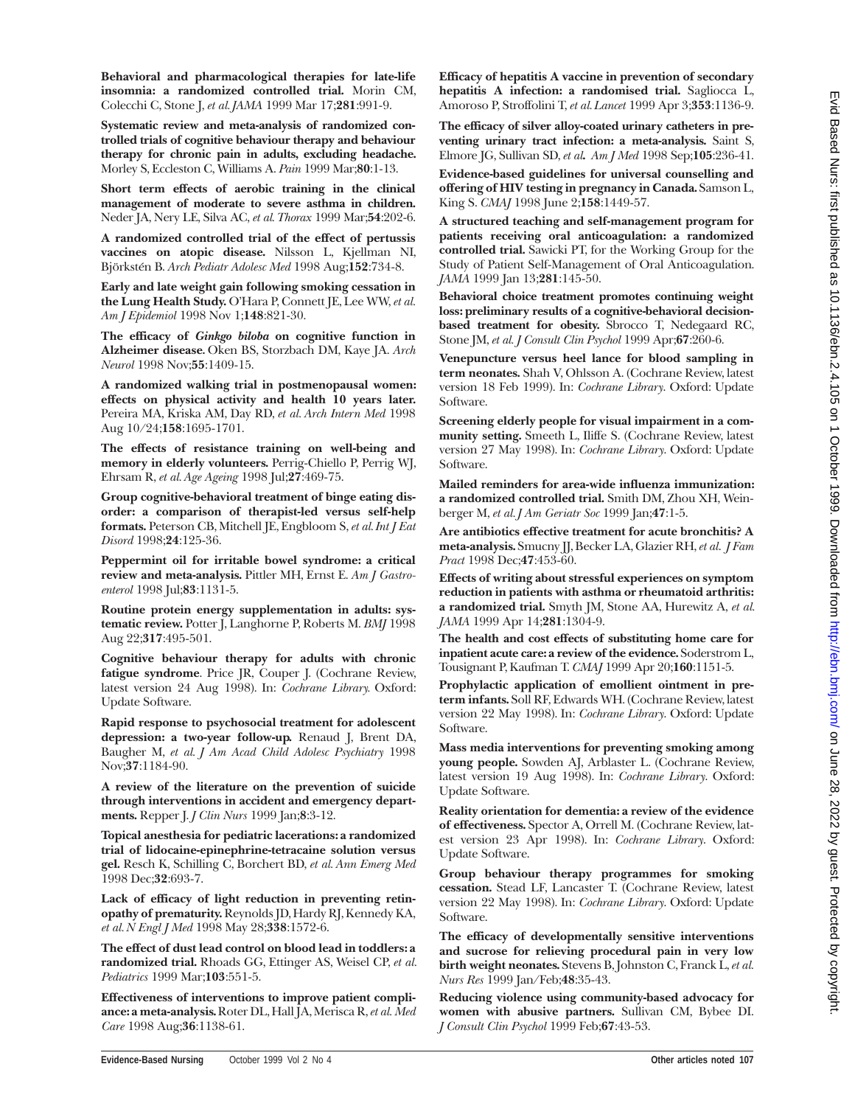**Behavioral and pharmacological therapies for late-life insomnia: a randomized controlled trial.** Morin CM, Colecchi C, Stone J, *et al. JAMA* 1999 Mar 17;**281**:991-9.

**Systematic review and meta-analysis of randomized controlled trials of cognitive behaviour therapy and behaviour therapy for chronic pain in adults, excluding headache.** Morley S, Eccleston C, Williams A. *Pain* 1999 Mar;**80**:1-13.

**Short term effects of aerobic training in the clinical management of moderate to severe asthma in children.** Neder JA, Nery LE, Silva AC, *et al. Thorax* 1999 Mar;**54**:202-6.

**A randomized controlled trial of the effect of pertussis vaccines on atopic disease.** Nilsson L, Kjellman NI, Björkstén B. *Arch Pediatr Adolesc Med* 1998 Aug;**152**:734-8.

**Early and late weight gain following smoking cessation in the Lung Health Study.** O'Hara P, Connett JE, Lee WW,*et al. Am J Epidemiol* 1998 Nov 1;**148**:821-30.

**The efficacy of** *Ginkgo biloba* **on cognitive function in Alzheimer disease***.* Oken BS, Storzbach DM, Kaye JA. *Arch Neurol* 1998 Nov;**55**:1409-15.

**A randomized walking trial in postmenopausal women: effects on physical activity and health 10 years later.** Pereira MA, Kriska AM, Day RD, *et al. Arch Intern Med* 1998 Aug 10/24;**158**:1695-1701.

**The effects of resistance training on well-being and memory in elderly volunteers.** Perrig-Chiello P, Perrig WJ, Ehrsam R, *et al. Age Ageing* 1998 Jul;**27**:469-75.

**Group cognitive-behavioral treatment of binge eating disorder: a comparison of therapist-led versus self-help formats.** Peterson CB, Mitchell JE, Engbloom S, *et al. Int J Eat Disord* 1998;**24**:125-36.

**Peppermint oil for irritable bowel syndrome: a critical review and meta-analysis.** Pittler MH, Ernst E. *Am J Gastroenterol* 1998 Jul;**83**:1131-5.

**Routine protein energy supplementation in adults: systematic review.** Potter J, Langhorne P, Roberts M. *BMJ* 1998 Aug 22;**317**:495-501.

**Cognitive behaviour therapy for adults with chronic fatigue syndrome**. Price JR, Couper J. (Cochrane Review, latest version 24 Aug 1998). In: *Cochrane Library.* Oxford: Update Software.

**Rapid response to psychosocial treatment for adolescent depression: a two-year follow-up.** Renaud J, Brent DA, Baugher M, *et al. J Am Acad Child Adolesc Psychiatry* 1998 Nov;**37**:1184-90.

**A review of the literature on the prevention of suicide through interventions in accident and emergency departments.** Repper J. *J Clin Nurs* 1999 Jan;**8**:3-12.

**Topical anesthesia for pediatric lacerations: a randomized trial of lidocaine-epinephrine-tetracaine solution versus gel.** Resch K, Schilling C, Borchert BD, *et al. Ann Emerg Med* 1998 Dec;**32**:693-7.

**Lack of efficacy of light reduction in preventing retinopathy of prematurity.** Reynolds JD, Hardy RJ, Kennedy KA, *et al. N Engl J Med* 1998 May 28;**338**:1572-6.

**The effect of dust lead control on blood lead in toddlers: a randomized trial.** Rhoads GG, Ettinger AS, Weisel CP, *et al. Pediatrics* 1999 Mar;**103**:551-5.

**Effectiveness of interventions to improve patient compliance: a meta-analysis.** Roter DL, Hall JA, Merisca R,*et al. Med Care* 1998 Aug;**36**:1138-61.

**Efficacy of hepatitis A vaccine in prevention of secondary hepatitis A infection: a randomised trial.** Sagliocca L, Amoroso P, Stroffolini T, *et al. Lancet* 1999 Apr 3;**353**:1136-9.

**The efficacy of silver alloy-coated urinary catheters in preventing urinary tract infection: a meta-analysis.** Saint S, Elmore JG, Sullivan SD, *et al***.** *Am J Med* 1998 Sep;**105**:236-41.

**Evidence-based guidelines for universal counselling and offering of HIV testing in pregnancy in Canada.** Samson L, King S. *CMAJ* 1998 June 2;**158**:1449-57.

**A structured teaching and self-management program for patients receiving oral anticoagulation: a randomized controlled trial.** Sawicki PT, for the Working Group for the Study of Patient Self-Management of Oral Anticoagulation. *JAMA* 1999 Jan 13;**281**:145-50.

**Behavioral choice treatment promotes continuing weight loss: preliminary results of a cognitive-behavioral decisionbased treatment for obesity.** Sbrocco T, Nedegaard RC, Stone JM, *et al. J Consult Clin Psychol* 1999 Apr;**67**:260-6.

**Venepuncture versus heel lance for blood sampling in term neonates.** Shah V, Ohlsson A. (Cochrane Review, latest version 18 Feb 1999). In: *Cochrane Library*. Oxford: Update Software.

**Screening elderly people for visual impairment in a community setting.** Smeeth L, Iliffe S. (Cochrane Review, latest version 27 May 1998). In: *Cochrane Library*. Oxford: Update Software.

**Mailed reminders for area-wide influenza immunization: a randomized controlled trial.** Smith DM, Zhou XH, Weinberger M, *et al. J Am Geriatr Soc* 1999 Jan;**47**:1-5.

**Are antibiotics effective treatment for acute bronchitis? A meta-analysis.** Smucny JJ, Becker LA, Glazier RH,*et al*. *J Fam Pract* 1998 Dec;**47**:453-60.

**Effects of writing about stressful experiences on symptom reduction in patients with asthma or rheumatoid arthritis: a randomized trial.** Smyth JM, Stone AA, Hurewitz A, *et al. JAMA* 1999 Apr 14;**281**:1304-9.

**The health and cost effects of substituting home care for inpatient acute care: a review of the evidence.** Soderstrom L, Tousignant P, Kaufman T. *CMAJ* 1999 Apr 20;**160**:1151-5.

**Prophylactic application of emollient ointment in preterm infants.** Soll RF, Edwards WH. (Cochrane Review, latest version 22 May 1998). In: *Cochrane Library*. Oxford: Update Software.

**Mass media interventions for preventing smoking among young people.** Sowden AJ, Arblaster L. (Cochrane Review, latest version 19 Aug 1998). In: *Cochrane Library*. Oxford: Update Software.

**Reality orientation for dementia: a review of the evidence of effectiveness.** Spector A, Orrell M. (Cochrane Review, latest version 23 Apr 1998). In: *Cochrane Library*. Oxford: Update Software.

**Group behaviour therapy programmes for smoking cessation.** Stead LF, Lancaster T. (Cochrane Review, latest version 22 May 1998). In: *Cochrane Library*. Oxford: Update Software.

**The efficacy of developmentally sensitive interventions and sucrose for relieving procedural pain in very low birth weight neonates.** Stevens B, Johnston C, Franck L,*et al. Nurs Res* 1999 Jan/Feb;**48**:35-43.

**Reducing violence using community-based advocacy for women with abusive partners.** Sullivan CM, Bybee DI. *J Consult Clin Psychol* 1999 Feb;**67**:43-53.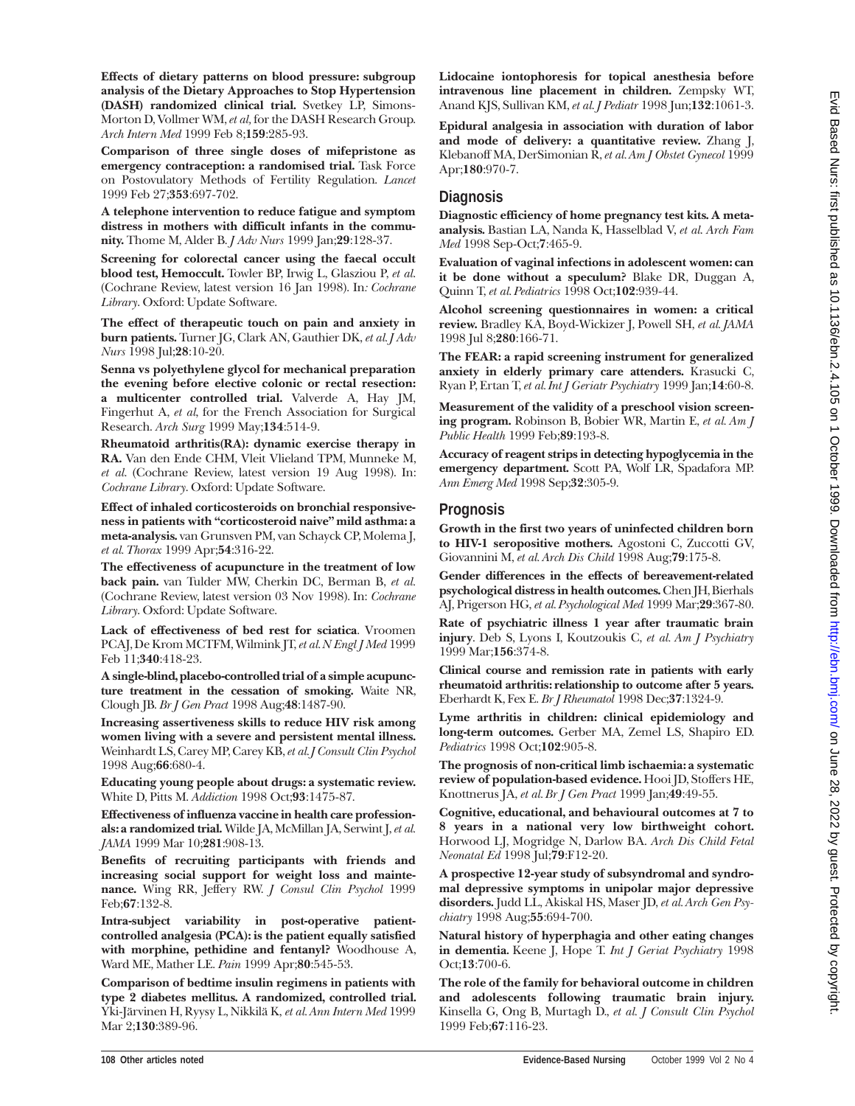**Effects of dietary patterns on blood pressure: subgroup analysis of the Dietary Approaches to Stop Hypertension (DASH) randomized clinical trial.** Svetkey LP, Simons-Morton D, Vollmer WM,*et al,* for the DASH Research Group. *Arch Intern Med* 1999 Feb 8;**159**:285-93.

**Comparison of three single doses of mifepristone as emergency contraception: a randomised trial.** Task Force on Postovulatory Methods of Fertility Regulation. *Lancet* 1999 Feb 27;**353**:697-702.

**A telephone intervention to reduce fatigue and symptom distress in mothers with difficult infants in the community.** Thome M, Alder B. *J Adv Nurs* 1999 Jan;**29**:128-37.

**Screening for colorectal cancer using the faecal occult blood test, Hemoccult.** Towler BP, Irwig L, Glasziou P, *et al*. (Cochrane Review, latest version 16 Jan 1998). In*: Cochrane Library*. Oxford: Update Software.

**The effect of therapeutic touch on pain and anxiety in burn patients.** Turner JG, Clark AN, Gauthier DK, *et al. J Adv Nurs* 1998 Jul;**28**:10-20.

**Senna vs polyethylene glycol for mechanical preparation the evening before elective colonic or rectal resection: a multicenter controlled trial.** Valverde A, Hay JM, Fingerhut A, *et al*, for the French Association for Surgical Research. *Arch Surg* 1999 May;**134**:514-9.

**Rheumatoid arthritis(RA): dynamic exercise therapy in RA.** Van den Ende CHM, Vleit Vlieland TPM, Munneke M, *et al*. (Cochrane Review, latest version 19 Aug 1998). In: *Cochrane Library*. Oxford: Update Software.

**Effect of inhaled corticosteroids on bronchial responsiveness in patients with "corticosteroid naive" mild asthma: a meta-analysis.** van Grunsven PM, van Schayck CP, Molema J, *et al. Thorax* 1999 Apr;**54**:316-22.

**The effectiveness of acupuncture in the treatment of low back pain.** van Tulder MW, Cherkin DC, Berman B, *et al.* (Cochrane Review, latest version 03 Nov 1998). In: *Cochrane Library*. Oxford: Update Software.

**Lack of effectiveness of bed rest for sciatica**. Vroomen PCAJ, De Krom MCTFM, Wilmink JT,*et al.N Engl J Med* 1999 Feb 11;**340**:418-23.

**A single-blind, placebo-controlled trial of a simple acupuncture treatment in the cessation of smoking.** Waite NR, Clough JB. *Br J Gen Pract* 1998 Aug;**48**:1487-90.

**Increasing assertiveness skills to reduce HIV risk among women living with a severe and persistent mental illness.** Weinhardt LS, Carey MP, Carey KB,*et al. J Consult Clin Psychol* 1998 Aug;**66**:680-4.

**Educating young people about drugs: a systematic review.** White D, Pitts M. *Addiction* 1998 Oct;**93**:1475-87.

**Effectiveness of influenza vaccine in health care professionals: a randomized trial.** Wilde JA, McMillan JA, Serwint J,*et al. JAMA* 1999 Mar 10;**281**:908-13.

**Benefits of recruiting participants with friends and increasing social support for weight loss and maintenance.** Wing RR, Jeffery RW. *J Consul Clin Psychol* 1999 Feb;**67**:132-8.

**Intra-subject variability in post-operative patientcontrolled analgesia (PCA): is the patient equally satisfied with morphine, pethidine and fentanyl?** Woodhouse A, Ward ME, Mather LE. *Pain* 1999 Apr;**80**:545-53.

**Comparison of bedtime insulin regimens in patients with type 2 diabetes mellitus. A randomized, controlled trial.** Yki-Järvinen H, Ryysy L, Nikkilä K, *et al. Ann Intern Med* 1999 Mar 2;**130**:389-96.

**Lidocaine iontophoresis for topical anesthesia before intravenous line placement in children.** Zempsky WT, Anand KJS, Sullivan KM, *et al*. *J Pediatr* 1998 Jun;**132**:1061-3.

**Epidural analgesia in association with duration of labor and mode of delivery: a quantitative review.** Zhang J, Klebanoff MA, DerSimonian R, *et al. Am J Obstet Gynecol* 1999 Apr;**180**:970-7.

## **Diagnosis**

**Diagnostic efficiency of home pregnancy test kits. A metaanalysis.** Bastian LA, Nanda K, Hasselblad V, *et al*. *Arch Fam Med* 1998 Sep-Oct;**7**:465-9.

**Evaluation of vaginal infections in adolescent women: can it be done without a speculum?** Blake DR, Duggan A, Quinn T, *et al. Pediatrics* 1998 Oct;**102**:939-44.

**Alcohol screening questionnaires in women: a critical review.** Bradley KA, Boyd-Wickizer J, Powell SH, *et al. JAMA* 1998 Jul 8;**280**:166-71.

**The FEAR: a rapid screening instrument for generalized anxiety in elderly primary care attenders.** Krasucki C, Ryan P, Ertan T, *et al. Int J Geriatr Psychiatry* 1999 Jan;**14**:60-8.

**Measurement of the validity of a preschool vision screening program.** Robinson B, Bobier WR, Martin E, *et al. Am J Public Health* 1999 Feb;**89**:193-8.

**Accuracy of reagent strips in detecting hypoglycemia in the emergency department.** Scott PA, Wolf LR, Spadafora MP. *Ann Emerg Med* 1998 Sep;**32**:305-9.

#### **Prognosis**

**Growth in the first two years of uninfected children born to HIV-1 seropositive mothers.** Agostoni C, Zuccotti GV, Giovannini M, *et al. Arch Dis Child* 1998 Aug;**79**:175-8.

**Gender differences in the effects of bereavement-related psychological distress in health outcomes.** Chen JH, Bierhals AJ, Prigerson HG, *et al. Psychological Med* 1999 Mar;**29**:367-80.

**Rate of psychiatric illness 1 year after traumatic brain injury**. Deb S, Lyons I, Koutzoukis C, *et al. Am J Psychiatry* 1999 Mar;**156**:374-8.

**Clinical course and remission rate in patients with early rheumatoid arthritis: relationship to outcome after 5 years.** Eberhardt K, Fex E. *Br J Rheumatol* 1998 Dec;**37**:1324-9.

**Lyme arthritis in children: clinical epidemiology and long-term outcomes.** Gerber MA, Zemel LS, Shapiro ED. *Pediatrics* 1998 Oct;**102**:905-8.

**The prognosis of non-critical limb ischaemia: a systematic review of population-based evidence.** Hooi JD, Stoffers HE, Knottnerus JA, *et al. Br J Gen Pract* 1999 Jan;**49**:49-55.

**Cognitive, educational, and behavioural outcomes at 7 to 8 years in a national very low birthweight cohort.** Horwood LJ, Mogridge N, Darlow BA. *Arch Dis Child Fetal Neonatal Ed* 1998 Jul;**79**:F12-20.

**A prospective 12-year study of subsyndromal and syndromal depressive symptoms in unipolar major depressive disorders.** Judd LL, Akiskal HS, Maser JD, *et al. Arch Gen Psychiatry* 1998 Aug;**55**:694-700.

**Natural history of hyperphagia and other eating changes in dementia***.* Keene J, Hope T. *Int J Geriat Psychiatry* <sup>1998</sup> Oct;**13**:700-6.

**The role of the family for behavioral outcome in children and adolescents following traumatic brain injury.** Kinsella G, Ong B, Murtagh D., *et al. J Consult Clin Psychol* 1999 Feb;**67**:116-23.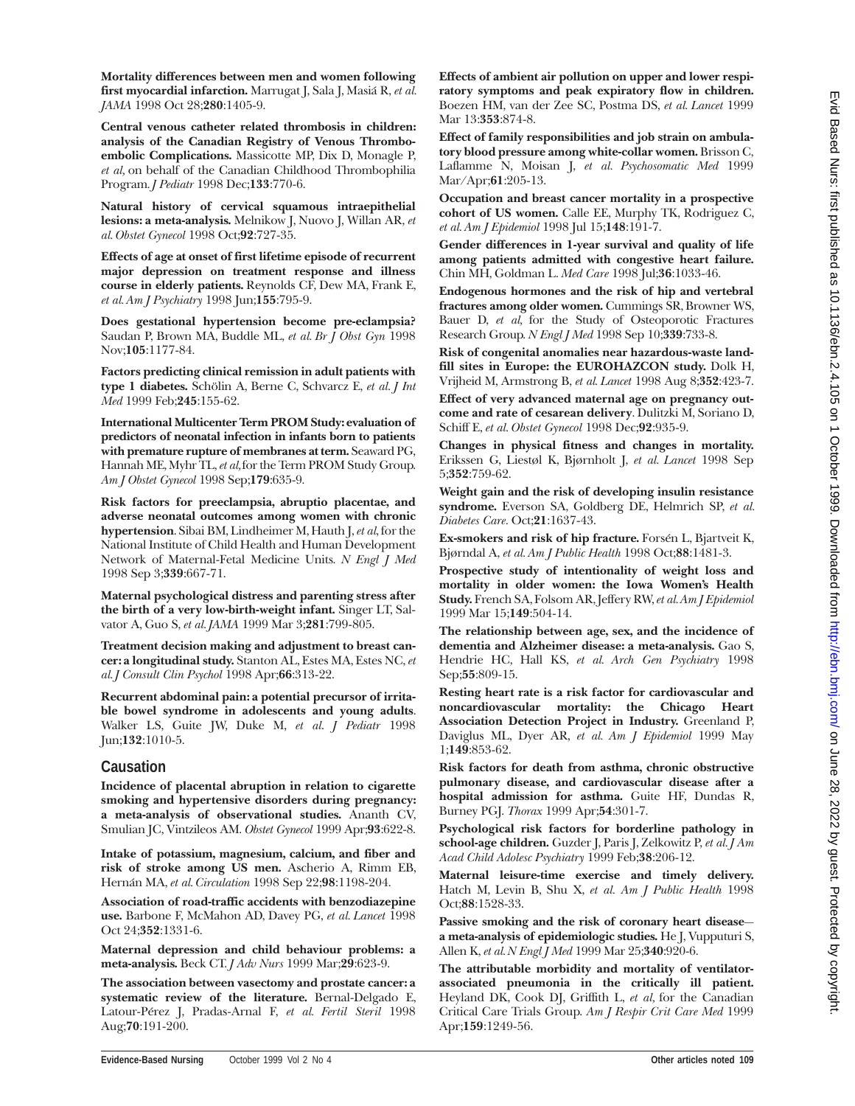**Mortality differences between men and women following first myocardial infarction.** Marrugat J, Sala J, Masiá R, *et al. JAMA* 1998 Oct 28;**280**:1405-9.

**Central venous catheter related thrombosis in children: analysis of the Canadian Registry of Venous Thromboembolic Complications.** Massicotte MP, Dix D, Monagle P, *et al,* on behalf of the Canadian Childhood Thrombophilia Program*. J Pediatr* 1998 Dec;**133**:770-6.

**Natural history of cervical squamous intraepithelial lesions: a meta-analysis.** Melnikow J, Nuovo J, Willan AR, *et al. Obstet Gynecol* 1998 Oct;**92**:727-35.

**Effects of age at onset of first lifetime episode of recurrent major depression on treatment response and illness course in elderly patients.** Reynolds CF, Dew MA, Frank E, *et al. Am J Psychiatry* 1998 Jun;**155**:795-9.

**Does gestational hypertension become pre-eclampsia?** Saudan P, Brown MA, Buddle ML, *et al. Br J Obst Gyn* 1998 Nov;**105**:1177-84.

**Factors predicting clinical remission in adult patients with type 1 diabetes.** Schölin A, Berne C, Schvarcz E, *et al. J Int Med* 1999 Feb;**245**:155-62.

**International Multicenter Term PROM Study: evaluation of predictors of neonatal infection in infants born to patients with premature rupture of membranes at term.** Seaward PG, Hannah ME, Myhr TL,*et al,*for the Term PROM Study Group. *Am J Obstet Gynecol* 1998 Sep;**179**:635-9.

**Risk factors for preeclampsia, abruptio placentae, and adverse neonatal outcomes among women with chronic hypertension**. Sibai BM, Lindheimer M, Hauth J, *et al*, for the National Institute of Child Health and Human Development Network of Maternal-Fetal Medicine Units. *N Engl J Med* 1998 Sep 3;**339**:667-71.

**Maternal psychological distress and parenting stress after the birth of a very low-birth-weight infant.** Singer LT, Salvator A, Guo S, *et al. JAMA* 1999 Mar 3;**281**:799-805.

**Treatment decision making and adjustment to breast cancer: a longitudinal study.** Stanton AL, Estes MA, Estes NC, *et al. J Consult Clin Psychol* 1998 Apr;**66**:313-22.

**Recurrent abdominal pain: a potential precursor of irritable bowel syndrome in adolescents and young adults**. Walker LS, Guite JW, Duke M, *et al*. *J Pediatr* 1998 Jun;**132**:1010-5.

#### **Causation**

**Incidence of placental abruption in relation to cigarette smoking and hypertensive disorders during pregnancy: a meta-analysis of observational studies.** Ananth CV, Smulian JC, Vintzileos AM. *Obstet Gynecol* 1999 Apr;**93**:622-8.

**Intake of potassium, magnesium, calcium, and fiber and risk of stroke among US men.** Ascherio A, Rimm EB, Hernán MA, *et al. Circulation* 1998 Sep 22;**98**:1198-204.

**Association of road-traffic accidents with benzodiazepine use.** Barbone F, McMahon AD, Davey PG, *et al. Lancet* 1998 Oct 24;**352**:1331-6.

**Maternal depression and child behaviour problems: a meta-analysis.** Beck CT. *J Adv Nurs* 1999 Mar;**29**:623-9.

**The association between vasectomy and prostate cancer: a systematic review of the literature.** Bernal-Delgado E, Latour-Pérez J, Pradas-Arnal F, *et al. Fertil Steril* 1998 Aug;**70**:191-200.

**Effects of ambient air pollution on upper and lower respiratory symptoms and peak expiratory flow in children.** Boezen HM, van der Zee SC, Postma DS, *et al. Lancet* 1999 Mar 13:**353**:874-8.

**Effect of family responsibilities and job strain on ambulatory blood pressure among white-collar women.** Brisson C, Laflamme N, Moisan J, *et al. Psychosomatic Med* 1999 Mar/Apr;**61**:205-13.

**Occupation and breast cancer mortality in a prospective cohort of US women.** Calle EE, Murphy TK, Rodriguez C, *et al. Am J Epidemiol* 1998 Jul 15;**148**:191-7.

**Gender differences in 1-year survival and quality of life among patients admitted with congestive heart failure.** Chin MH, Goldman L. *Med Care* 1998 Jul;**36**:1033-46.

**Endogenous hormones and the risk of hip and vertebral fractures among older women.** Cummings SR, Browner WS, Bauer D, *et al,* for the Study of Osteoporotic Fractures Research Group. *N Engl J Med* 1998 Sep 10;**339**:733-8.

**Risk of congenital anomalies near hazardous-waste landfill sites in Europe: the EUROHAZCON study.** Dolk H, Vrijheid M, Armstrong B, *et al. Lancet* 1998 Aug 8;**352**:423-7.

**Effect of very advanced maternal age on pregnancy outcome and rate of cesarean delivery**. Dulitzki M, Soriano D, Schiff E, *et al. Obstet Gynecol* 1998 Dec;**92**:935-9.

**Changes in physical fitness and changes in mortality.** Erikssen G, Liestøl K, Bjørnholt J, *et al. Lancet* 1998 Sep 5;**352**:759-62.

**Weight gain and the risk of developing insulin resistance syndrome.** Everson SA, Goldberg DE, Helmrich SP, *et al. Diabetes Care.* Oct;**21**:1637-43.

**Ex-smokers and risk of hip fracture.** Forsén L, Bjartveit K, Bjørndal A, *et al. Am J Public Health* 1998 Oct;**88**:1481-3.

**Prospective study of intentionality of weight loss and mortality in older women: the Iowa Women's Health Study.** French SA, Folsom AR, Jeffery RW,*et al.Am J Epidemiol* 1999 Mar 15;**149**:504-14.

**The relationship between age, sex, and the incidence of dementia and Alzheimer disease: a meta-analysis.** Gao S, Hendrie HC, Hall KS, *et al. Arch Gen Psychiatry* 1998 Sep;**55**:809-15.

**Resting heart rate is a risk factor for cardiovascular and noncardiovascular mortality: the Chicago Heart Association Detection Project in Industry.** Greenland P, Daviglus ML, Dyer AR, *et al. Am J Epidemiol* 1999 May 1;**149**:853-62.

**Risk factors for death from asthma, chronic obstructive pulmonary disease, and cardiovascular disease after a hospital admission for asthma.** Guite HF, Dundas R, Burney PGJ. *Thorax* 1999 Apr;**54**:301-7.

**Psychological risk factors for borderline pathology in school-age children.** Guzder J, Paris J, Zelkowitz P, *et al. J Am Acad Child Adolesc Psychiatry* 1999 Feb;**38**:206-12.

**Maternal leisure-time exercise and timely delivery.** Hatch M, Levin B, Shu X, *et al. Am J Public Health* 1998 Oct;**88**:1528-33.

**Passive smoking and the risk of coronary heart disease a meta-analysis of epidemiologic studies.** He J, Vupputuri S, Allen K, *et al. N Engl J Med* 1999 Mar 25;**340**:920-6.

**The attributable morbidity and mortality of ventilatorassociated pneumonia in the critically ill patient.** Heyland DK, Cook DJ, Griffith L, *et al,* for the Canadian Critical Care Trials Group. *Am J Respir Crit Care Med* 1999 Apr;**159**:1249-56.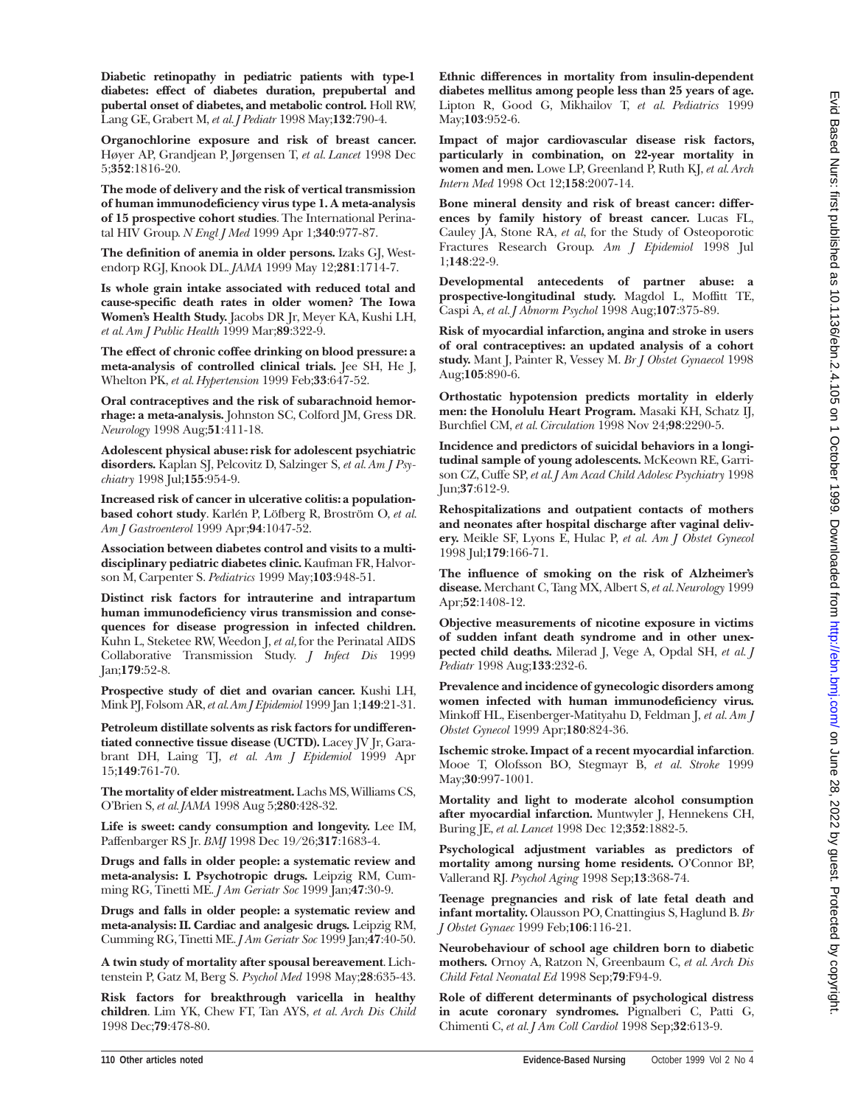**Diabetic retinopathy in pediatric patients with type-1 diabetes: effect of diabetes duration, prepubertal and pubertal onset of diabetes, and metabolic control.** Holl RW, Lang GE, Grabert M, *et al. J Pediatr* 1998 May;**132**:790-4.

**Organochlorine exposure and risk of breast cancer.** Høyer AP, Grandjean P, Jørgensen T, *et al. Lancet* 1998 Dec 5;**352**:1816-20.

**The mode of delivery and the risk of vertical transmission of human immunodeficiency virus type 1. A meta-analysis of 15 prospective cohort studies**. The International Perinatal HIV Group. *N Engl J Med* 1999 Apr 1;**340**:977-87.

**The definition of anemia in older persons.** Izaks GJ, Westendorp RGJ, Knook DL. *JAMA* 1999 May 12;**281**:1714-7.

**Is whole grain intake associated with reduced total and cause-specific death rates in older women? The Iowa Women's Health Study.** Jacobs DR Jr, Meyer KA, Kushi LH, *et al. Am J Public Health* 1999 Mar;**89**:322-9.

**The effect of chronic coffee drinking on blood pressure: a meta-analysis of controlled clinical trials.** Jee SH, He J, Whelton PK, *et al. Hypertension* 1999 Feb;**33**:647-52.

**Oral contraceptives and the risk of subarachnoid hemorrhage: a meta-analysis.** Johnston SC, Colford JM, Gress DR. *Neurology* 1998 Aug;**51**:411-18.

**Adolescent physical abuse: risk for adolescent psychiatric disorders.** Kaplan SJ, Pelcovitz D, Salzinger S, *et al. Am J Psychiatry* 1998 Jul;**155**:954-9.

**Increased risk of cancer in ulcerative colitis: a populationbased cohort study**. Karlén P, Löfberg R, Broström O, *et al. Am J Gastroenterol* 1999 Apr;**94**:1047-52.

**Association between diabetes control and visits to a multidisciplinary pediatric diabetes clinic.** Kaufman FR, Halvorson M, Carpenter S. *Pediatrics* 1999 May;**103**:948-51.

**Distinct risk factors for intrauterine and intrapartum human immunodeficiency virus transmission and consequences for disease progression in infected children.** Kuhn L, Steketee RW, Weedon J, *et al,* for the Perinatal AIDS Collaborative Transmission Study. *J Infect Dis* 1999 Jan;**179**:52-8.

**Prospective study of diet and ovarian cancer.** Kushi LH, Mink PJ, Folsom AR,*et al.Am J Epidemiol* 1999 Jan 1;**149**:21-31.

**Petroleum distillate solvents as risk factors for undifferentiated connective tissue disease (UCTD).** Lacey JV Jr, Garabrant DH, Laing TJ, *et al. Am J Epidemiol* 1999 Apr 15;**149**:761-70.

**The mortality of elder mistreatment.** Lachs MS,Williams CS, O'Brien S, *et al. JAMA* 1998 Aug 5;**280**:428-32.

**Life is sweet: candy consumption and longevity.** Lee IM, Paffenbarger RS Jr. *BMJ* 1998 Dec 19/26;**317**:1683-4.

**Drugs and falls in older people: a systematic review and meta-analysis: I. Psychotropic drugs.** Leipzig RM, Cumming RG, Tinetti ME. *J Am Geriatr Soc* 1999 Jan;**47**:30-9.

**Drugs and falls in older people: a systematic review and meta-analysis: II. Cardiac and analgesic drugs.** Leipzig RM, Cumming RG, Tinetti ME. *J Am Geriatr Soc* 1999 Jan;**47**:40-50.

**A twin study of mortality after spousal bereavement**. Lichtenstein P, Gatz M, Berg S. *Psychol Med* 1998 May;**28**:635-43.

**Risk factors for breakthrough varicella in healthy children**. Lim YK, Chew FT, Tan AYS, *et al. Arch Dis Child* 1998 Dec;**79**:478-80.

**Ethnic differences in mortality from insulin-dependent diabetes mellitus among people less than 25 years of age.** Lipton R, Good G, Mikhailov T, *et al. Pediatrics* 1999 May;**103**:952-6.

**Impact of major cardiovascular disease risk factors, particularly in combination, on 22-year mortality in women and men.** Lowe LP, Greenland P, Ruth KJ, *et al. Arch Intern Med* 1998 Oct 12;**158**:2007-14.

**Bone mineral density and risk of breast cancer: differences by family history of breast cancer.** Lucas FL, Cauley JA, Stone RA, *et al*, for the Study of Osteoporotic Fractures Research Group. *Am J Epidemiol* 1998 Jul 1;**148**:22-9.

**Developmental antecedents of partner abuse: a prospective-longitudinal study.** Magdol L, Moffitt TE, Caspi A, *et al. J Abnorm Psychol* 1998 Aug;**107**:375-89.

**Risk of myocardial infarction, angina and stroke in users of oral contraceptives: an updated analysis of a cohort study.** Mant J, Painter R, Vessey M. *Br J Obstet Gynaecol* 1998 Aug;**105**:890-6.

**Orthostatic hypotension predicts mortality in elderly men: the Honolulu Heart Program.** Masaki KH, Schatz IJ, Burchfiel CM, *et al. Circulation* 1998 Nov 24;**98**:2290-5.

**Incidence and predictors of suicidal behaviors in a longitudinal sample of young adolescents.** McKeown RE, Garrison CZ, Cuffe SP, *et al. J Am Acad Child Adolesc Psychiatry* 1998 Jun;**37**:612-9.

**Rehospitalizations and outpatient contacts of mothers and neonates after hospital discharge after vaginal delivery.** Meikle SF, Lyons E, Hulac P, *et al. Am J Obstet Gynecol* 1998 Jul;**179**:166-71.

**The influence of smoking on the risk of Alzheimer's disease.** Merchant C, Tang MX, Albert S, *et al. Neurology* 1999 Apr;**52**:1408-12.

**Objective measurements of nicotine exposure in victims of sudden infant death syndrome and in other unexpected child deaths.** Milerad J, Vege A, Opdal SH, *et al. J Pediatr* 1998 Aug;**133**:232-6.

**Prevalence and incidence of gynecologic disorders among women infected with human immunodeficiency virus.** Minkoff HL, Eisenberger-Matityahu D, Feldman J, *et al. Am J Obstet Gynecol* 1999 Apr;**180**:824-36.

**Ischemic stroke. Impact of a recent myocardial infarction**. Mooe T, Olofsson BO, Stegmayr B, *et al. Stroke* 1999 May;**30**:997-1001.

**Mortality and light to moderate alcohol consumption after myocardial infarction.** Muntwyler J, Hennekens CH, Buring JE, *et al. Lancet* 1998 Dec 12;**352**:1882-5.

**Psychological adjustment variables as predictors of mortality among nursing home residents.** O'Connor BP, Vallerand RJ. *Psychol Aging* 1998 Sep;**13**:368-74.

**Teenage pregnancies and risk of late fetal death and infant mortality.** Olausson PO, Cnattingius S, Haglund B. *Br J Obstet Gynaec* 1999 Feb;**106**:116-21.

**Neurobehaviour of school age children born to diabetic mothers.** Ornoy A, Ratzon N, Greenbaum C, *et al. Arch Dis Child Fetal Neonatal Ed* 1998 Sep;**79**:F94-9.

**Role of different determinants of psychological distress in acute coronary syndromes.** Pignalberi C, Patti G, Chimenti C, *et al. J Am Coll Cardiol* 1998 Sep;**32**:613-9.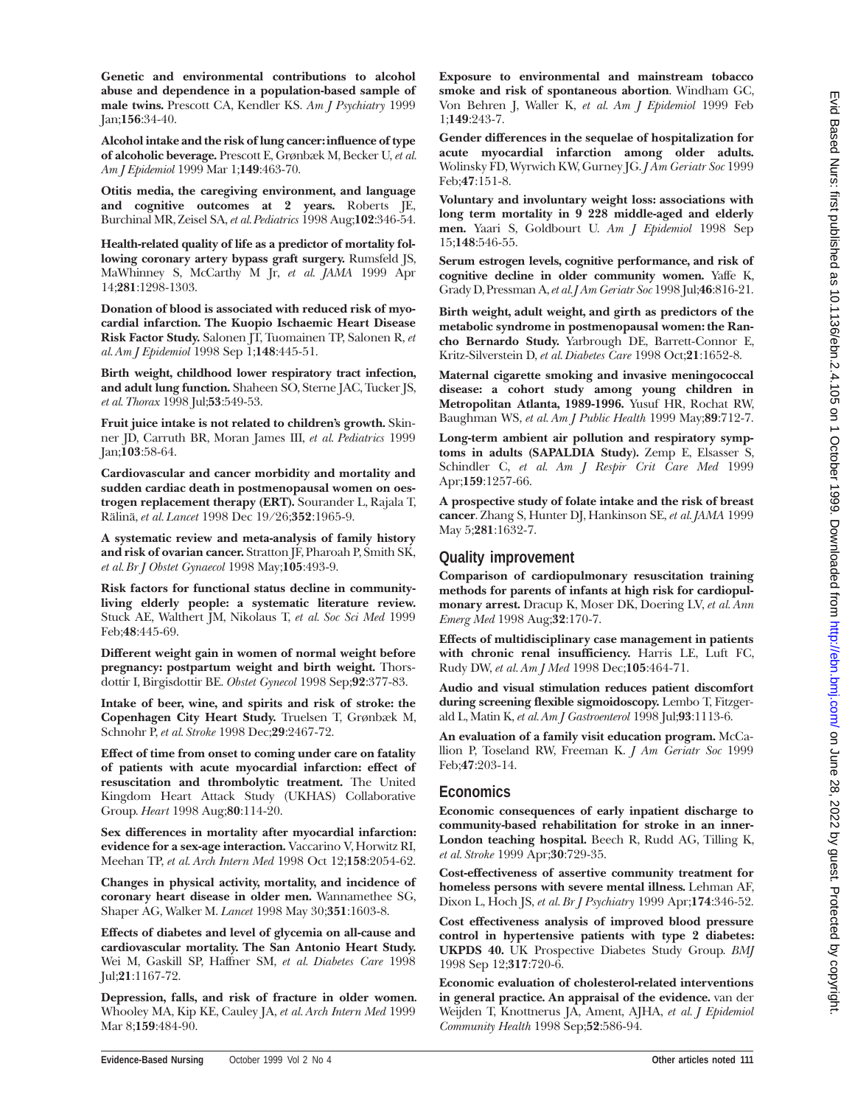**Genetic and environmental contributions to alcohol abuse and dependence in a population-based sample of male twins.** Prescott CA, Kendler KS. *Am J Psychiatry* 1999 Jan;**156**:34-40.

**Alcohol intake and the risk of lung cancer: influence of type of alcoholic beverage.** Prescott E, Grønbæk M, Becker U, *et al. Am J Epidemiol* 1999 Mar 1;**149**:463-70.

**Otitis media, the caregiving environment, and language and cognitive outcomes at 2 years.** Roberts JE, Burchinal MR, Zeisel SA, *et al.Pediatrics* 1998 Aug;**102**:346-54.

**Health-related quality of life as a predictor of mortality following coronary artery bypass graft surgery.** Rumsfeld JS, MaWhinney S, McCarthy M Jr, *et al. JAMA* 1999 Apr 14;**281**:1298-1303.

**Donation of blood is associated with reduced risk of myocardial infarction. The Kuopio Ischaemic Heart Disease Risk Factor Study.** Salonen JT, Tuomainen TP, Salonen R, *et al. Am J Epidemiol* 1998 Sep 1;**148**:445-51.

**Birth weight, childhood lower respiratory tract infection, and adult lung function.** Shaheen SO, Sterne JAC, Tucker JS, *et al. Thorax* 1998 Jul;**53**:549-53.

**Fruit juice intake is not related to children's growth.** Skinner JD, Carruth BR, Moran James III, *et al. Pediatrics* 1999 Jan;**103**:58-64.

**Cardiovascular and cancer morbidity and mortality and sudden cardiac death in postmenopausal women on oestrogen replacement therapy (ERT).** Sourander L, Rajala T, Rälinä, *et al. Lancet* 1998 Dec 19/26;**352**:1965-9.

**A systematic review and meta-analysis of family history and risk of ovarian cancer.** Stratton JF, Pharoah P, Smith SK, *et al. Br J Obstet Gynaecol* 1998 May;**105**:493-9.

**Risk factors for functional status decline in communityliving elderly people: a systematic literature review.** Stuck AE, Walthert JM, Nikolaus T, *et al. Soc Sci Med* 1999 Feb;**48**:445-69.

**Different weight gain in women of normal weight before pregnancy: postpartum weight and birth weight.** Thorsdottir I, Birgisdottir BE. *Obstet Gynecol* 1998 Sep;**92**:377-83.

**Intake of beer, wine, and spirits and risk of stroke: the Copenhagen City Heart Study.** Truelsen T, Grønbæk M, Schnohr P, *et al. Stroke* 1998 Dec;**29**:2467-72.

**Effect of time from onset to coming under care on fatality of patients with acute myocardial infarction: effect of resuscitation and thrombolytic treatment.** The United Kingdom Heart Attack Study (UKHAS) Collaborative Group. *Heart* 1998 Aug;**80**:114-20.

**Sex differences in mortality after myocardial infarction: evidence for a sex-age interaction.** Vaccarino V, Horwitz RI, Meehan TP, *et al. Arch Intern Med* 1998 Oct 12;**158**:2054-62.

**Changes in physical activity, mortality, and incidence of coronary heart disease in older men.** Wannamethee SG, Shaper AG, Walker M. *Lancet* 1998 May 30;**351**:1603-8.

**Effects of diabetes and level of glycemia on all-cause and cardiovascular mortality. The San Antonio Heart Study.** Wei M, Gaskill SP, Haffner SM, *et al. Diabetes Care* 1998 Jul;**21**:1167-72.

**Depression, falls, and risk of fracture in older women***.* Whooley MA, Kip KE, Cauley JA, *et al. Arch Intern Med* 1999 Mar 8;**159**:484-90.

**Exposure to environmental and mainstream tobacco smoke and risk of spontaneous abortion**. Windham GC, Von Behren J, Waller K, *et al. Am J Epidemiol* 1999 Feb 1;**149**:243-7.

**Gender differences in the sequelae of hospitalization for acute myocardial infarction among older adults.** Wolinsky FD, Wyrwich KW, Gurney JG. *J Am Geriatr Soc* 1999 Feb;**47**:151-8.

**Voluntary and involuntary weight loss: associations with long term mortality in 9 228 middle-aged and elderly men.** Yaari S, Goldbourt U. *Am J Epidemiol* 1998 Sep 15;**148**:546-55.

**Serum estrogen levels, cognitive performance, and risk of cognitive decline in older community women.** Yaffe K, Grady D, Pressman A,*et al. J Am Geriatr Soc* 1998 Jul;**46**:816-21.

**Birth weight, adult weight, and girth as predictors of the metabolic syndrome in postmenopausal women: the Rancho Bernardo Study.** Yarbrough DE, Barrett-Connor E, Kritz-Silverstein D, *et al. Diabetes Care* 1998 Oct;**21**:1652-8.

**Maternal cigarette smoking and invasive meningococcal disease: a cohort study among young children in Metropolitan Atlanta, 1989-1996.** Yusuf HR, Rochat RW, Baughman WS, *et al. Am J Public Health* 1999 May;**89**:712-7.

**Long-term ambient air pollution and respiratory symptoms in adults (SAPALDIA Study).** Zemp E, Elsasser S, Schindler C, *et al. Am J Respir Crit Care Med* 1999 Apr;**159**:1257-66.

**A prospective study of folate intake and the risk of breast cancer**. Zhang S, Hunter DJ, Hankinson SE, *et al. JAMA* 1999 May 5;**281**:1632-7.

### **Quality improvement**

**Comparison of cardiopulmonary resuscitation training methods for parents of infants at high risk for cardiopulmonary arrest.** Dracup K, Moser DK, Doering LV, *et al. Ann Emerg Med* 1998 Aug;**32**:170-7.

**Effects of multidisciplinary case management in patients with chronic renal insufficiency.** Harris LE, Luft FC, Rudy DW, *et al. Am J Med* 1998 Dec;**105**:464-71.

**Audio and visual stimulation reduces patient discomfort during screening flexible sigmoidoscopy.** Lembo T, Fitzgerald L, Matin K, *et al. Am J Gastroenterol* 1998 Jul;**93**:1113-6.

**An evaluation of a family visit education program.** McCallion P, Toseland RW, Freeman K. *J Am Geriatr Soc* 1999 Feb;**47**:203-14.

## **Economics**

**Economic consequences of early inpatient discharge to community-based rehabilitation for stroke in an inner-London teaching hospital.** Beech R, Rudd AG, Tilling K, *et al. Stroke* 1999 Apr;**30**:729-35.

**Cost-effectiveness of assertive community treatment for homeless persons with severe mental illness.** Lehman AF, Dixon L, Hoch JS, *et al. Br J Psychiatry* 1999 Apr;**174**:346-52.

**Cost effectiveness analysis of improved blood pressure control in hypertensive patients with type 2 diabetes: UKPDS 40.** UK Prospective Diabetes Study Group. *BMJ* 1998 Sep 12;**317**:720-6.

**Economic evaluation of cholesterol-related interventions in general practice. An appraisal of the evidence.** van der Weijden T, Knottnerus JA, Ament, AJHA, *et al. J Epidemiol Community Health* 1998 Sep;**52**:586-94.